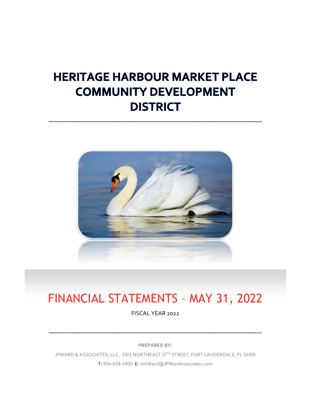# **HERITAGE HARBOUR MARKET PLACE COMMUNITY DEVELOPMENT DISTRICT**



# FINANCIAL STATEMENTS – MAY 31, 2022

FISCAL YEAR 2022

**PREPARED BY:**

JPWARD & ASSOCIATES, LLC, 2301 NORTHEAST 37TH STREET, FORT LAUDERDALE, FL 33308 **T:** 954-658-4900 **E:** JimWard@JPWardAssociates.com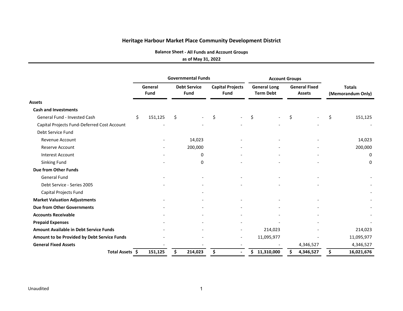**Balance Sheet ‐ All Funds and Account Groups**

#### **as of May 31, 2022**

|                                               |                 |    | <b>Governmental Funds</b>   |    |                                        | <b>Account Groups</b>                   |    |                                       |                                    |            |  |
|-----------------------------------------------|-----------------|----|-----------------------------|----|----------------------------------------|-----------------------------------------|----|---------------------------------------|------------------------------------|------------|--|
|                                               | General<br>Fund |    | <b>Debt Service</b><br>Fund |    | <b>Capital Projects</b><br><b>Fund</b> | <b>General Long</b><br><b>Term Debt</b> |    | <b>General Fixed</b><br><b>Assets</b> | <b>Totals</b><br>(Memorandum Only) |            |  |
| <b>Assets</b>                                 |                 |    |                             |    |                                        |                                         |    |                                       |                                    |            |  |
| <b>Cash and Investments</b>                   |                 |    |                             |    |                                        |                                         |    |                                       |                                    |            |  |
| General Fund - Invested Cash                  | \$<br>151,125   | \$ |                             | Ś. |                                        | \$                                      | \$ |                                       | \$                                 | 151,125    |  |
| Capital Projects Fund-Deferred Cost Account   |                 |    |                             |    |                                        |                                         |    |                                       |                                    |            |  |
| Debt Service Fund                             |                 |    |                             |    |                                        |                                         |    |                                       |                                    |            |  |
| <b>Revenue Account</b>                        |                 |    | 14,023                      |    |                                        |                                         |    |                                       |                                    | 14,023     |  |
| <b>Reserve Account</b>                        |                 |    | 200,000                     |    |                                        |                                         |    |                                       |                                    | 200,000    |  |
| <b>Interest Account</b>                       |                 |    | $\Omega$                    |    |                                        |                                         |    |                                       |                                    | 0          |  |
| <b>Sinking Fund</b>                           |                 |    | $\Omega$                    |    |                                        |                                         |    |                                       |                                    | 0          |  |
| Due from Other Funds                          |                 |    |                             |    |                                        |                                         |    |                                       |                                    |            |  |
| <b>General Fund</b>                           |                 |    |                             |    |                                        |                                         |    |                                       |                                    |            |  |
| Debt Service - Series 2005                    |                 |    |                             |    |                                        |                                         |    |                                       |                                    |            |  |
| Capital Projects Fund                         |                 |    |                             |    |                                        |                                         |    |                                       |                                    |            |  |
| <b>Market Valuation Adjustments</b>           |                 |    |                             |    |                                        |                                         |    |                                       |                                    |            |  |
| <b>Due from Other Governments</b>             |                 |    |                             |    |                                        |                                         |    |                                       |                                    |            |  |
| <b>Accounts Receivable</b>                    |                 |    |                             |    |                                        |                                         |    |                                       |                                    |            |  |
| <b>Prepaid Expenses</b>                       |                 |    |                             |    |                                        |                                         |    |                                       |                                    |            |  |
| <b>Amount Available in Debt Service Funds</b> |                 |    |                             |    |                                        | 214,023                                 |    |                                       |                                    | 214,023    |  |
| Amount to be Provided by Debt Service Funds   |                 |    |                             |    |                                        | 11,095,977                              |    |                                       |                                    | 11,095,977 |  |
| <b>General Fixed Assets</b>                   |                 |    |                             |    |                                        |                                         |    | 4,346,527                             |                                    | 4,346,527  |  |
| Total Assets \$                               | 151,125         | S  | 214,023                     | \$ |                                        | 11,310,000<br>Ś.                        | Ś  | 4,346,527                             | \$                                 | 16,021,676 |  |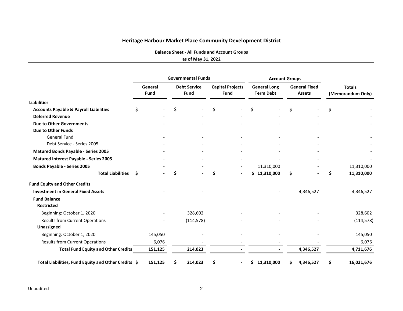**Balance Sheet ‐ All Funds and Account Groups**

#### **as of May 31, 2022**

|                                                     |                 | <b>Governmental Funds</b>          |                                        |                                         | <b>Account Groups</b>                 |                                    |
|-----------------------------------------------------|-----------------|------------------------------------|----------------------------------------|-----------------------------------------|---------------------------------------|------------------------------------|
|                                                     | General<br>Fund | <b>Debt Service</b><br><b>Fund</b> | <b>Capital Projects</b><br><b>Fund</b> | <b>General Long</b><br><b>Term Debt</b> | <b>General Fixed</b><br><b>Assets</b> | <b>Totals</b><br>(Memorandum Only) |
| <b>Liabilities</b>                                  |                 |                                    |                                        |                                         |                                       |                                    |
| <b>Accounts Payable &amp; Payroll Liabilities</b>   | Ś.              | Ś.                                 | Ś                                      | Ś                                       | Ŝ.                                    | Ś.                                 |
| <b>Deferred Revenue</b>                             |                 |                                    |                                        |                                         |                                       |                                    |
| <b>Due to Other Governments</b>                     |                 |                                    |                                        |                                         |                                       |                                    |
| Due to Other Funds                                  |                 |                                    |                                        |                                         |                                       |                                    |
| <b>General Fund</b>                                 |                 |                                    |                                        |                                         |                                       |                                    |
| Debt Service - Series 2005                          |                 |                                    |                                        |                                         |                                       |                                    |
| <b>Matured Bonds Payable - Series 2005</b>          |                 |                                    |                                        |                                         |                                       |                                    |
| Matured Interest Payable - Series 2005              |                 |                                    |                                        |                                         |                                       |                                    |
| <b>Bonds Payable - Series 2005</b>                  |                 |                                    |                                        | 11,310,000                              |                                       | 11,310,000                         |
| <b>Total Liabilities</b>                            | - \$            | \$.                                | \$.<br>$\blacksquare$                  | \$11,310,000                            | Ŝ.                                    | 11,310,000<br>Ś.                   |
| <b>Fund Equity and Other Credits</b>                |                 |                                    |                                        |                                         |                                       |                                    |
| <b>Investment in General Fixed Assets</b>           |                 |                                    |                                        |                                         | 4,346,527                             | 4,346,527                          |
| <b>Fund Balance</b>                                 |                 |                                    |                                        |                                         |                                       |                                    |
| <b>Restricted</b>                                   |                 |                                    |                                        |                                         |                                       |                                    |
| Beginning: October 1, 2020                          |                 | 328,602                            |                                        |                                         |                                       | 328,602                            |
| <b>Results from Current Operations</b>              |                 | (114, 578)                         |                                        |                                         |                                       | (114, 578)                         |
| Unassigned                                          |                 |                                    |                                        |                                         |                                       |                                    |
| Beginning: October 1, 2020                          | 145,050         |                                    |                                        |                                         |                                       | 145,050                            |
| <b>Results from Current Operations</b>              | 6,076           |                                    |                                        |                                         |                                       | 6,076                              |
| <b>Total Fund Equity and Other Credits</b>          | 151,125         | 214,023                            |                                        |                                         | 4,346,527                             | 4,711,676                          |
| Total Liabilities, Fund Equity and Other Credits \$ | 151,125         | 214,023                            | \$<br>$\overline{\phantom{a}}$         | \$.<br>11,310,000                       | 4,346,527                             | 16,021,676                         |
|                                                     |                 |                                    |                                        |                                         |                                       |                                    |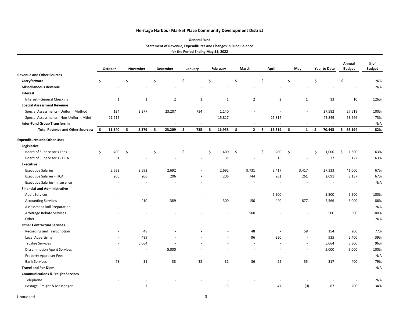| <b>General Fund</b>                                            |
|----------------------------------------------------------------|
| Statement of Revenue, Expenditures and Changes in Fund Balance |
| for the Period Ending May 31, 2022                             |

|                                              |    | October                  |    | November                 |    | December       |    | January                  |     | February |     | April<br>March<br>May    |    |                | <b>Year to Date</b>            |     | Annual<br><b>Budget</b> | % of<br><b>Budget</b> |        |      |
|----------------------------------------------|----|--------------------------|----|--------------------------|----|----------------|----|--------------------------|-----|----------|-----|--------------------------|----|----------------|--------------------------------|-----|-------------------------|-----------------------|--------|------|
| <b>Revenue and Other Sources</b>             |    |                          |    |                          |    |                |    |                          |     |          |     |                          |    |                |                                |     |                         |                       |        |      |
| Carryforward                                 | \$ |                          | Ś  | ÷,                       | Ś. |                | Ś  |                          | Ś   |          | Ś   |                          | Ŝ. |                | \$                             | Ś   |                         | Ś                     |        | N/A  |
| <b>Miscellaneous Revenue</b>                 |    |                          |    |                          |    |                |    |                          |     |          |     |                          |    |                |                                |     |                         |                       |        | N/A  |
| Interest                                     |    |                          |    |                          |    |                |    |                          |     |          |     |                          |    |                |                                |     |                         |                       |        |      |
| Interest - General Checking                  |    | 1                        |    | 1                        |    | $\overline{2}$ |    | $\mathbf{1}$             |     | 1        |     | $\overline{2}$           |    | $\overline{2}$ | $\mathbf{1}$                   |     | 13                      |                       | 10     | 126% |
| <b>Special Assessment Revenue</b>            |    |                          |    |                          |    |                |    |                          |     |          |     |                          |    |                |                                |     |                         |                       |        |      |
| Special Assessments - Uniform Method         |    | 124                      |    | 2,377                    |    | 23,207         |    | 734                      |     | 1,140    |     |                          |    |                | $\sim$                         |     | 27,582                  |                       | 27,518 | 100% |
| Special Assessments - Non-Uniform Mthd       |    | 11,215                   |    |                          |    |                |    | $\overline{\phantom{a}}$ |     | 15,817   |     |                          |    | 15,817         |                                |     | 42,849                  |                       | 58,666 | 73%  |
| <b>Inter-Fund Group Transfers In</b>         |    |                          |    |                          |    |                |    |                          |     |          |     |                          |    |                |                                |     |                         |                       |        | N/A  |
| <b>Total Revenue and Other Sources:</b>      | \$ | 11,340                   | \$ | 2,379                    | \$ | 23,209         | \$ | 735                      | \$. | 16,958   | \$  | $\mathbf{2}$             | \$ | 15,819         | \$<br>$\mathbf{1}$             | \$. | 70,443                  | \$                    | 86,194 | 82%  |
| <b>Expenditures and Other Uses</b>           |    |                          |    |                          |    |                |    |                          |     |          |     |                          |    |                |                                |     |                         |                       |        |      |
| Legislative                                  |    |                          |    |                          |    |                |    |                          |     |          |     |                          |    |                |                                |     |                         |                       |        |      |
| Board of Supervisor's Fees                   | \$ | 400                      | \$ | $\overline{\phantom{a}}$ | Ŝ. |                | S. | ÷.                       | \$  | 400      | -\$ | $\overline{\phantom{a}}$ | \$ | 200            | \$<br>$\overline{\phantom{a}}$ | \$  | 1,000                   | Ś                     | 1,600  | 63%  |
| Board of Supervisor's - FICA                 |    | 31                       |    |                          |    |                |    |                          |     | 31       |     |                          |    | 15             |                                |     | 77                      |                       | 122    | 63%  |
| <b>Executive</b>                             |    |                          |    |                          |    |                |    |                          |     |          |     |                          |    |                |                                |     |                         |                       |        |      |
| <b>Executive Salaries</b>                    |    | 2,692                    |    | 2,692                    |    | 2,692          |    |                          |     | 2,692    |     | 9,731                    |    | 3,417          | 3,417                          |     | 27,333                  |                       | 41,000 | 67%  |
| <b>Executive Salaries - FICA</b>             |    | 206                      |    | 206                      |    | 206            |    |                          |     | 206      |     | 744                      |    | 261            | 261                            |     | 2,091                   |                       | 3,137  | 67%  |
| Executive Salaries - Insurance               |    |                          |    |                          |    |                |    |                          |     |          |     |                          |    |                |                                |     |                         |                       |        | N/A  |
| <b>Financial and Administrative</b>          |    |                          |    |                          |    |                |    |                          |     |          |     |                          |    |                |                                |     |                         |                       |        |      |
| <b>Audit Services</b>                        |    |                          |    |                          |    |                |    |                          |     |          |     | $\sim$                   |    | 5,900          | ÷,                             |     | 5,900                   |                       | 5,900  | 100% |
| <b>Accounting Services</b>                   |    |                          |    | 410                      |    | 389            |    |                          |     | 300      |     | 150                      |    | 440            | 877                            |     | 2,566                   |                       | 3,000  | 86%  |
| Assessment Roll Preparation                  |    |                          |    |                          |    |                |    |                          |     |          |     | ÷.                       |    |                | $\sim$                         |     | $\sim$                  |                       | $\sim$ | N/A  |
| Arbitrage Rebate Services                    |    |                          |    |                          |    |                |    |                          |     |          |     | 500                      |    |                | ÷                              |     | 500                     |                       | 500    | 100% |
| Other                                        |    |                          |    |                          |    |                |    |                          |     |          |     |                          |    |                |                                |     |                         |                       |        | N/A  |
| <b>Other Contractual Services</b>            |    |                          |    |                          |    |                |    |                          |     |          |     |                          |    |                |                                |     |                         |                       |        |      |
| <b>Recording and Transcription</b>           |    |                          |    | 48                       |    |                |    |                          |     |          |     | 48                       |    |                | 58                             |     | 154                     |                       | 200    | 77%  |
| <b>Legal Advertising</b>                     |    |                          |    | 489                      |    |                |    |                          |     |          |     | 96                       |    | 350            | $\sim$                         |     | 935                     |                       | 2,400  | 39%  |
| <b>Trustee Services</b>                      |    | $\overline{\phantom{a}}$ |    | 5,064                    |    |                |    |                          |     |          |     | $\sim$                   |    |                | $\sim$                         |     | 5,064                   |                       | 5,300  | 96%  |
| <b>Dissemination Agent Services</b>          |    | ÷.                       |    | ÷.                       |    | 5,000          |    |                          |     |          |     | ä,                       |    |                | ÷.                             |     | 5,000                   |                       | 5,000  | 100% |
| <b>Property Appraiser Fees</b>               |    |                          |    | $\overline{\phantom{a}}$ |    |                |    | ÷,                       |     |          |     | $\overline{a}$           |    |                | $\overline{\phantom{a}}$       |     | $\sim$                  |                       | $\sim$ | N/A  |
| <b>Bank Services</b>                         |    | 78                       |    | 31                       |    | 33             |    | 32                       |     | 31       |     | 36                       |    | 22             | 55                             |     | 317                     |                       | 400    | 79%  |
| <b>Travel and Per Diem</b>                   |    |                          |    | ٠                        |    |                |    |                          |     |          |     |                          |    |                |                                |     |                         |                       | $\sim$ | N/A  |
| <b>Communications &amp; Freight Services</b> |    |                          |    |                          |    |                |    |                          |     |          |     |                          |    |                |                                |     |                         |                       |        |      |
| Telephone                                    |    |                          |    |                          |    |                |    |                          |     |          |     |                          |    |                |                                |     |                         |                       |        | N/A  |
| Postage, Freight & Messenger                 |    |                          |    | $\overline{7}$           |    |                |    |                          |     | 13       |     |                          |    | 47             | (0)                            |     | 67                      |                       | 200    | 34%  |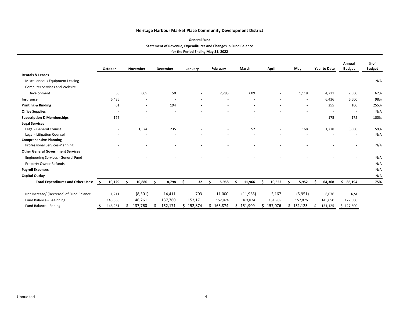| <b>General Fund</b>                                            |
|----------------------------------------------------------------|
| Statement of Revenue, Expenditures and Changes in Fund Balance |
| for the Period Ending May 31, 2022                             |

|                                           |   | October |   | <b>November</b>          |   | <b>December</b> |     | January                  |     | February |   | March     |   | April   |    | May                      | <b>Year to Date</b>      | Annual<br><b>Budget</b> | % of<br><b>Budget</b> |
|-------------------------------------------|---|---------|---|--------------------------|---|-----------------|-----|--------------------------|-----|----------|---|-----------|---|---------|----|--------------------------|--------------------------|-------------------------|-----------------------|
| <b>Rentals &amp; Leases</b>               |   |         |   |                          |   |                 |     |                          |     |          |   |           |   |         |    |                          |                          |                         |                       |
| Miscellaneous Equipment Leasing           |   |         |   |                          |   |                 |     |                          |     |          |   |           |   |         |    |                          |                          |                         | N/A                   |
| <b>Computer Services and Website</b>      |   |         |   |                          |   |                 |     |                          |     |          |   |           |   |         |    |                          |                          |                         |                       |
| Development                               |   | 50      |   | 609                      |   | 50              |     | $\overline{\phantom{a}}$ |     | 2,285    |   | 609       |   |         |    | 1,118                    | 4,721                    | 7,560                   | 62%                   |
| Insurance                                 |   | 6,436   |   |                          |   |                 |     |                          |     |          |   |           |   |         |    | $\overline{\phantom{a}}$ | 6,436                    | 6,600                   | 98%                   |
| <b>Printing &amp; Binding</b>             |   | 61      |   | $\overline{\phantom{a}}$ |   | 194             |     |                          |     |          |   |           |   |         |    |                          | 255                      | 100                     | 255%                  |
| <b>Office Supplies</b>                    |   | $\sim$  |   |                          |   |                 |     |                          |     |          |   |           |   |         |    | $\overline{\phantom{a}}$ | $\overline{\phantom{a}}$ | $\sim$                  | N/A                   |
| <b>Subscription &amp; Memberships</b>     |   | 175     |   |                          |   |                 |     |                          |     |          |   |           |   |         |    | $\overline{\phantom{a}}$ | 175                      | 175                     | 100%                  |
| <b>Legal Services</b>                     |   |         |   |                          |   |                 |     |                          |     |          |   |           |   |         |    |                          |                          |                         |                       |
| Legal - General Counsel                   |   |         |   | 1,324                    |   | 235             |     |                          |     |          |   | 52        |   |         |    | 168                      | 1,778                    | 3,000                   | 59%                   |
| - Litigation Counsel<br>Legal             |   |         |   |                          |   |                 |     |                          |     |          |   |           |   |         |    |                          |                          |                         | N/A                   |
| <b>Comprehensive Planning</b>             |   |         |   |                          |   |                 |     |                          |     |          |   |           |   |         |    |                          |                          |                         |                       |
| Professional Services-Planning            |   |         |   |                          |   |                 |     |                          |     |          |   |           |   |         |    |                          |                          |                         | N/A                   |
| <b>Other General Government Services</b>  |   |         |   |                          |   |                 |     |                          |     |          |   |           |   |         |    |                          |                          |                         |                       |
| Engineering Services - General Fund       |   |         |   |                          |   |                 |     |                          |     |          |   |           |   |         |    |                          |                          | ٠                       | N/A                   |
| Property Owner Refunds                    |   |         |   |                          |   |                 |     |                          |     |          |   |           |   |         |    |                          |                          | ٠                       | N/A                   |
| <b>Payroll Expenses</b>                   |   |         |   |                          |   |                 |     |                          |     |          |   |           |   |         |    |                          |                          |                         | N/A                   |
| <b>Capital Outlay</b>                     |   |         |   |                          |   |                 |     | $\overline{\phantom{a}}$ |     |          |   |           |   |         |    |                          |                          |                         | N/A                   |
| <b>Total Expenditures and Other Uses:</b> | S | 10,129  | S | 10,880                   | Ŝ | 8,798           | . Ś | 32                       | \$. | 5,958    | Ś | 11,966    |   | 10,652  | Ś  | 5,952                    | 64,368                   | 86,194                  | 75%                   |
| Net Increase/ (Decrease) of Fund Balance  |   | 1,211   |   | (8,501)                  |   | 14,411          |     | 703                      |     | 11,000   |   | (11, 965) |   | 5,167   |    | (5,951)                  | 6,076                    | N/A                     |                       |
| Fund Balance - Beginning                  |   | 145,050 |   | 146,261                  |   | 137,760         |     | 152,171                  |     | 152,874  |   | 163,874   |   | 151,909 |    | 157,076                  | 145,050                  | 127,500                 |                       |
| Fund Balance - Ending                     |   | 146,261 |   | 137,760                  |   | 152,171         |     | 152,874                  | Ś.  | 163,874  |   | 151,909   | S | 157,076 | Ś. | 151,125                  | 151,125                  | \$127,500               |                       |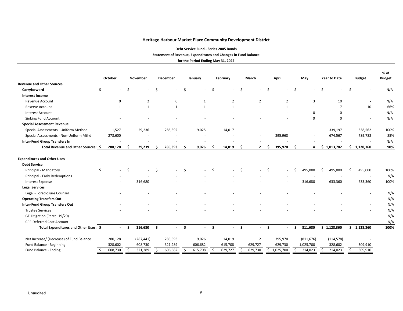**Debt Service Fund ‐ Series 2005 Bonds Statement of Revenue, Expenditures and Changes in Fund Balance for the Period Ending May 31, 2022**

|                                                                                                                     |    | October<br>November      |    |              | December |                          | January |                          | February |                          | March | April                    |     |                | May     | Year to Date |     | <b>Budget</b>  |    | % of<br><b>Budget</b>    |             |
|---------------------------------------------------------------------------------------------------------------------|----|--------------------------|----|--------------|----------|--------------------------|---------|--------------------------|----------|--------------------------|-------|--------------------------|-----|----------------|---------|--------------|-----|----------------|----|--------------------------|-------------|
| <b>Revenue and Other Sources</b>                                                                                    |    |                          |    |              |          |                          |         |                          |          |                          |       |                          |     |                |         |              |     |                |    |                          |             |
| Carryforward                                                                                                        | \$ |                          | .S |              | \$       |                          | Ś       |                          | Ŝ.       |                          |       |                          | Ŝ   |                | \$      |              | Ś   |                | Ś  |                          | N/A         |
| <b>Interest Income</b>                                                                                              |    |                          |    |              |          |                          |         |                          |          |                          |       |                          |     |                |         |              |     |                |    |                          |             |
| Revenue Account                                                                                                     |    | 0                        |    | 2            |          | 0                        |         | $\mathbf{1}$             |          | $\overline{2}$           |       | 2                        |     | $\overline{2}$ |         | 3            |     | 10             |    | $\overline{\phantom{a}}$ | N/A         |
| Reserve Account                                                                                                     |    | 1                        |    | $\mathbf{1}$ |          | 1                        |         | $\mathbf{1}$             |          | 1                        |       | $\mathbf{1}$             |     | 1              |         | $\mathbf{1}$ |     | $\overline{7}$ |    | 10                       | 66%         |
| <b>Interest Account</b>                                                                                             |    |                          |    |              |          |                          |         |                          |          |                          |       |                          |     |                |         | 0            |     | $\Omega$       |    | $\sim$                   | N/A         |
| Sinking Fund Account                                                                                                |    |                          |    |              |          |                          |         |                          |          |                          |       |                          |     |                |         | 0            |     | $\Omega$       |    |                          | N/A         |
| <b>Special Assessment Revenue</b>                                                                                   |    |                          |    |              |          |                          |         |                          |          |                          |       |                          |     |                |         |              |     |                |    |                          |             |
| Special Assessments - Uniform Method                                                                                |    | 1,527                    |    | 29,236       |          | 285,392                  |         | 9,025                    |          | 14,017                   |       |                          |     |                |         |              |     | 339,197        |    | 338,562                  | 100%        |
| Special Assessments - Non-Uniform Mthd                                                                              |    | 278,600                  |    |              |          |                          |         |                          |          |                          |       |                          |     | 395,968        |         |              |     | 674,567        |    | 789,788                  | 85%         |
| <b>Inter-Fund Group Transfers In</b>                                                                                |    | $\overline{\phantom{a}}$ |    |              |          | $\overline{\phantom{a}}$ |         | $\overline{a}$           |          |                          |       | $\overline{a}$           |     |                |         |              |     | $\sim$         |    |                          | N/A         |
| Total Revenue and Other Sources: \$                                                                                 |    | 280,128                  |    | 29,239       | Ś        | 285,393                  | Ś.      | 9,026                    | Ŝ        | 14,019                   | Ś     | $\mathbf{2}$             | . Ś | 395,970        | Ŝ.      | 4            |     | \$1,013,782    | Ś. | 1,128,360                | 90%         |
| <b>Expenditures and Other Uses</b><br><b>Debt Service</b><br>Principal - Mandatory<br>Principal - Early Redemptions | \$ |                          | Ŝ. |              | Ś        |                          | Ŝ.      |                          | Ŝ.       |                          |       |                          | Ŝ.  | $\sim$         | $\zeta$ | 495,000      | \$. | 495,000        | Ś. | 495,000                  | 100%<br>N/A |
| <b>Interest Expense</b><br><b>Legal Services</b>                                                                    |    |                          |    | 316,680      |          |                          |         |                          |          |                          |       |                          |     |                |         | 316,680      |     | 633,360        |    | 633,360                  | 100%        |
| Legal - Foreclosure Counsel                                                                                         |    |                          |    |              |          |                          |         |                          |          |                          |       |                          |     |                |         |              |     |                |    |                          | N/A         |
| <b>Operating Transfers Out</b>                                                                                      |    |                          |    |              |          |                          |         |                          |          |                          |       |                          |     |                |         |              |     |                |    |                          | N/A         |
| <b>Inter-Fund Group Transfers Out</b>                                                                               |    |                          |    |              |          |                          |         |                          |          |                          |       |                          |     |                |         |              |     |                |    |                          | N/A         |
| <b>Trustee Services</b>                                                                                             |    |                          |    |              |          |                          |         |                          |          |                          |       |                          |     |                |         |              |     |                |    |                          | N/A         |
| GF-Litigation (Parcel 19/20)                                                                                        |    |                          |    |              |          |                          |         |                          |          |                          |       |                          |     |                |         |              |     |                |    |                          | N/A         |
| <b>CPF-Deferred Cost Account</b>                                                                                    |    | $\sim$                   |    |              |          | $\sim$                   |         | $\sim$                   |          | $\sim$                   |       | $\overline{a}$           |     |                |         |              |     |                |    |                          | N/A         |
| Total Expenditures and Other Uses: \$                                                                               |    | $\overline{\phantom{a}}$ |    | 316,680      | \$.      | $\overline{\phantom{a}}$ | Ś       | $\overline{\phantom{a}}$ | Ś        | $\overline{\phantom{a}}$ | .\$   | $\overline{\phantom{a}}$ | Ŝ.  | $\blacksquare$ | .s      | 811,680      |     | \$1,128,360    | S. | 1,128,360                | 100%        |
| Net Increase/ (Decrease) of Fund Balance                                                                            |    | 280,128                  |    | (287, 441)   |          | 285,393                  |         | 9,026                    |          | 14,019                   |       | $\overline{2}$           |     | 395,970        |         | (811, 676)   |     | (114, 578)     |    |                          |             |
| Fund Balance - Beginning                                                                                            |    | 328,602                  |    | 608,730      |          | 321,289                  |         | 606,682                  |          | 615,708                  |       | 629,727                  |     | 629,730        |         | 1,025,700    |     | 328,602        |    | 309,910                  |             |
| Fund Balance - Ending                                                                                               |    | 608,730                  |    | 321,289      | Ŝ.       | 606,682                  | Ŝ.      | 615,708                  | Ś        | 629,727                  | \$    | 629,730                  |     | \$1,025,700    | \$      | 214,023      | Ŝ.  | 214,023        | Ś. | 309,910                  |             |